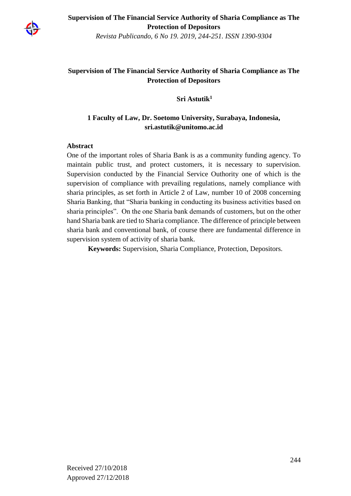

**Supervision of The Financial Service Authority of Sharia Compliance as The Protection of Depositors**

*Revista Publicando, 6 No 19. 2019, 244-251. ISSN 1390-9304*

# **Supervision of The Financial Service Authority of Sharia Compliance as The Protection of Depositors**

**Sri Astutik<sup>1</sup>**

## **1 Faculty of Law, Dr. Soetomo University, Surabaya, Indonesia, sri.astutik@unitomo.ac.id**

### **Abstract**

One of the important roles of Sharia Bank is as a community funding agency. To maintain public trust, and protect customers, it is necessary to supervision. Supervision conducted by the Financial Service Outhority one of which is the supervision of compliance with prevailing regulations, namely compliance with sharia principles, as set forth in Article 2 of Law, number 10 of 2008 concerning Sharia Banking, that "Sharia banking in conducting its business activities based on sharia principles". On the one Sharia bank demands of customers, but on the other hand Sharia bank are tied to Sharia compliance. The difference of principle between sharia bank and conventional bank, of course there are fundamental difference in supervision system of activity of sharia bank.

**Keywords:** Supervision, Sharia Compliance, Protection, Depositors.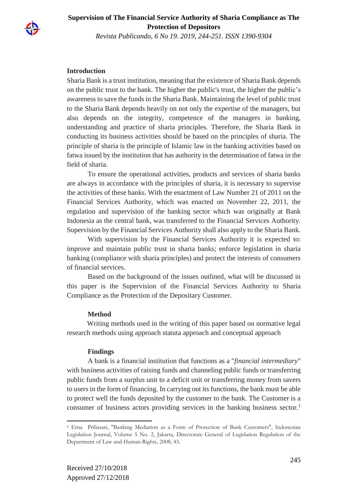

**Supervision of The Financial Service Authority of Sharia Compliance as The Protection of Depositors**

*Revista Publicando, 6 No 19. 2019, 244-251. ISSN 1390-9304*

### **Introduction**

Sharia Bank is a trust institution, meaning that the existence of Sharia Bank depends on the public trust to the bank. The higher the public's trust, the higher the public's awareness to save the funds in the Sharia Bank. Maintaining the level of public trust to the Sharia Bank depends heavily on not only the expertise of the managers, but also depends on the integrity, competence of the managers in banking, understanding and practice of sharia principles. Therefore, the Sharia Bank in conducting its business activities should be based on the principles of sharia. The principle of sharia is the principle of Islamic law in the banking activities based on fatwa issued by the institution that has authority in the determination of fatwa in the field of sharia.

To ensure the operational activities, products and services of sharia banks are always in accordance with the principles of sharia, it is necessary to supervise the activities of these banks. With the enactment of Law Number 21 of 2011 on the Financial Services Authority, which was enacted on November 22, 2011, the regulation and supervision of the banking sector which was originally at Bank Indonesia as the central bank, was transferred to the Financial Services Authority. Supervision by the Financial Services Authority shall also apply to the Sharia Bank.

With supervision by the Financial Services Authority it is expected to: improve and maintain public trust in sharia banks; enforce legislation in sharia banking (compliance with sharia principles) and protect the interests of consumers of financial services.

Based on the background of the issues outlined, what will be discussed in this paper is the Supervision of the Financial Services Authority to Sharia Compliance as the Protection of the Depositary Customer.

### **Method**

 Writing methods used in the writing of this paper based on normative legal research methods using approach statuta approach and conceptual approach

### **Findings**

A bank is a financial institution that functions as a "*financial intermediary*" with business activities of raising funds and channeling public funds or transferring public funds from a surplus unit to a deficit unit or transferring money from savers to users in the form of financing. In carrying out its functions, the bank must be able to protect well the funds deposited by the customer to the bank. The Customer is a consumer of business actors providing services in the banking business sector.<sup>1</sup>

 $\overline{\phantom{a}}$ 

<sup>1</sup> Erna Priliasari, "Banking Mediation as a Form of Protection of Bank Customers", Indonesian Legislation Journal, Volume 5 No. 2, Jakarta, Directorate General of Legislation Regulation of the Department of Law and Human Rights, 2008; 43.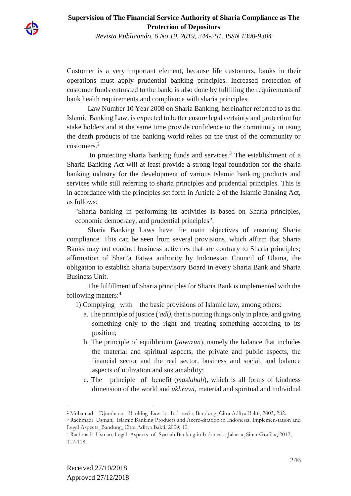

Customer is a very important element, because life customers, banks in their operations must apply prudential banking principles. Increased protection of customer funds entrusted to the bank, is also done by fulfilling the requirements of bank health requirements and compliance with sharia principles.

Law Number 10 Year 2008 on Sharia Banking, hereinafter referred to as the Islamic Banking Law, is expected to better ensure legal certainty and protection for stake holders and at the same time provide confidence to the community in using the death products of the banking world relies on the trust of the community or customers.<sup>2</sup>

In protecting sharia banking funds and services.<sup>3</sup> The establishment of a Sharia Banking Act will at least provide a strong legal foundation for the sharia banking industry for the development of various Islamic banking products and services while still referring to sharia principles and prudential principles. This is in accordance with the principles set forth in Article 2 of the Islamic Banking Act, as follows:

"Sharia banking in performing its activities is based on Sharia principles, economic democracy, and prudential principles".

Sharia Banking Laws have the main objectives of ensuring Sharia compliance. This can be seen from several provisions, which affirm that Sharia Banks may not conduct business activities that are contrary to Sharia principles; affirmation of Shari'a Fatwa authority by Indonesian Council of Ulama, the obligation to establish Sharia Supervisory Board in every Sharia Bank and Sharia Business Unit.

The fulfillment of Sharia principles for Sharia Bank is implemented with the following matters:<sup>4</sup>

1) Complying with the basic provisions of Islamic law, among others:

- a. The principle of justice (*'adl)*, that is putting things only in place, and giving something only to the right and treating something according to its position;
- b. The principle of equilibrium (*tawazun*), namely the balance that includes the material and spiritual aspects, the private and public aspects, the financial sector and the real sector, business and social, and balance aspects of utilization and sustainability;
- c. The principle of benefit (*maslahah*), which is all forms of kindness dimension of the world and *ukhrawi*, material and spiritual and individual

 $\overline{\phantom{a}}$ <sup>2</sup> Muhamad Djumhana, Banking Law in Indonesia, Bandung, Citra Aditya Bakti, 2003; 282.

<sup>3</sup> Rachmadi Usman, Islamic Banking Products and Accre-ditation in Indonesia, Implemen-tation and Legal Aspects, Bandung, Citra Aditya Bakti, 2009; 10.

<sup>4</sup> Rachmadi Usman, Legal Aspects of Syariah Banking in Indonesia, Jakarta, Sinar Grafika, 2012; 117-118.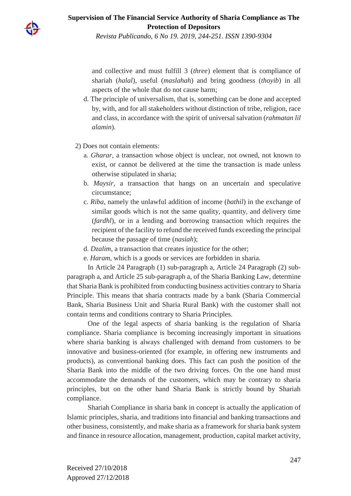

and collective and must fulfill 3 (*three*) element that is compliance of shariah (*halal*), useful (*maslahah*) and bring goodness (*thoyib*) in all aspects of the whole that do not cause harm;

- d. The principle of universalism, that is, something can be done and accepted by, with, and for all stakeholders without distinction of tribe, religion, race and class, in accordance with the spirit of universal salvation (*rahmatan lil alamin*).
- 2) Does not contain elements:
	- a. *Gharar*, a transaction whose object is unclear, not owned, not known to exist, or cannot be delivered at the time the transaction is made unless otherwise stipulated in sharia;
	- b. *Maysir,* a transaction that hangs on an uncertain and speculative circumstance;
	- c. *Riba*, namely the unlawful addition of income (*bathil*) in the exchange of similar goods which is not the same quality, quantity, and delivery time (*fardhl*), or in a lending and borrowing transaction which requires the recipient of the facility to refund the received funds exceeding the principal because the passage of time (*nasiah*);
	- d. *Dzalim*, a transaction that creates injustice for the other;
	- e. *Haram*, which is a goods or services are forbidden in sharia.

In Article 24 Paragraph (1) sub-paragraph a, Article 24 Paragraph (2) subparagraph a, and Article 25 sub-paragraph a, of the Sharia Banking Law, determine that Sharia Bank is prohibited from conducting business activities contrary to Sharia Principle. This means that sharia contracts made by a bank (Sharia Commercial Bank, Sharia Business Unit and Sharia Rural Bank) with the customer shall not contain terms and conditions contrary to Sharia Principles.

One of the legal aspects of sharia banking is the regulation of Sharia compliance. Sharia compliance is becoming increasingly important in situations where sharia banking is always challenged with demand from customers to be innovative and business-oriented (for example, in offering new instruments and products), as conventional banking does. This fact can push the position of the Sharia Bank into the middle of the two driving forces. On the one hand must accommodate the demands of the customers, which may be contrary to sharia principles, but on the other hand Sharia Bank is strictly bound by Shariah compliance.

Shariah Compliance in sharia bank in concept is actually the application of Islamic principles, sharia, and traditions into financial and banking transactions and other business, consistently, and make sharia as a framework for sharia bank system and finance in resource allocation, management, production, capital market activity,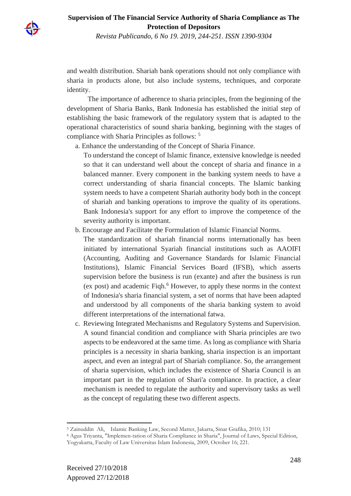

and wealth distribution. Shariah bank operations should not only compliance with sharia in products alone, but also include systems, techniques, and corporate identity.

The importance of adherence to sharia principles, from the beginning of the development of Sharia Banks, Bank Indonesia has established the initial step of establishing the basic framework of the regulatory system that is adapted to the operational characteristics of sound sharia banking, beginning with the stages of compliance with Sharia Principles as follows: <sup>5</sup>

a. Enhance the understanding of the Concept of Sharia Finance.

To understand the concept of Islamic finance, extensive knowledge is needed so that it can understand well about the concept of sharia and finance in a balanced manner. Every component in the banking system needs to have a correct understanding of sharia financial concepts. The Islamic banking system needs to have a competent Shariah authority body both in the concept of shariah and banking operations to improve the quality of its operations. Bank Indonesia's support for any effort to improve the competence of the severity authority is important.

b. Encourage and Facilitate the Formulation of Islamic Financial Norms.

The standardization of shariah financial norms internationally has been initiated by international Syariah financial institutions such as AAOIFI (Accounting, Auditing and Governance Standards for Islamic Financial Institutions), Islamic Financial Services Board (IFSB), which asserts supervision before the business is run (exante) and after the business is run (ex post) and academic Fiqh.<sup>6</sup> However, to apply these norms in the context of Indonesia's sharia financial system, a set of norms that have been adapted and understood by all components of the sharia banking system to avoid different interpretations of the international fatwa.

c. Reviewing Integrated Mechanisms and Regulatory Systems and Supervision. A sound financial condition and compliance with Sharia principles are two aspects to be endeavored at the same time. As long as compliance with Sharia principles is a necessity in sharia banking, sharia inspection is an important aspect, and even an integral part of Shariah compliance. So, the arrangement of sharia supervision, which includes the existence of Sharia Council is an important part in the regulation of Shari'a compliance. In practice, a clear mechanism is needed to regulate the authority and supervisory tasks as well as the concept of regulating these two different aspects.

 $\overline{\phantom{a}}$ <sup>5</sup> Zainuddin Ali, Islamic Banking Law, Second Matter, Jakarta, Sinar Grafika, 2010; 131

<sup>6</sup> Agus Triyanta, "Implemen-tation of Sharia Compliance in Sharia", Journal of Laws, Special Edition, Yogyakarta, Faculty of Law Universitas Islam Indonesia, 2009, October 16; 221.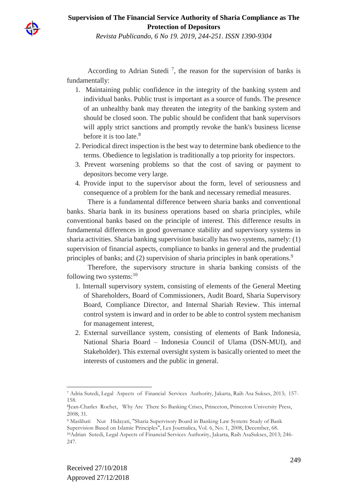

According to Adrian Sutedi<sup>7</sup>, the reason for the supervision of banks is fundamentally:

- 1. Maintaining public confidence in the integrity of the banking system and individual banks. Public trust is important as a source of funds. The presence of an unhealthy bank may threaten the integrity of the banking system and should be closed soon. The public should be confident that bank supervisors will apply strict sanctions and promptly revoke the bank's business license before it is too late.<sup>8</sup>
- 2. Periodical direct inspection is the best way to determine bank obedience to the terms. Obedience to legislation is traditionally a top priority for inspectors.
- 3. Prevent worsening problems so that the cost of saving or payment to depositors become very large.
- 4. Provide input to the supervisor about the form, level of seriousness and consequence of a problem for the bank and necessary remedial measures.

There is a fundamental difference between sharia banks and conventional banks. Sharia bank in its business operations based on sharia principles, while conventional banks based on the principle of interest. This difference results in fundamental differences in good governance stability and supervisory systems in sharia activities. Sharia banking supervision basically has two systems, namely: (1) supervision of financial aspects, compliance to banks in general and the prudential principles of banks; and (2) supervision of sharia principles in bank operations.<sup>9</sup>

Therefore, the supervisory structure in sharia banking consists of the following two systems: $10$ 

- 1. Internall supervisory system, consisting of elements of the General Meeting of Shareholders, Board of Commissioners, Audit Board, Sharia Supervisory Board, Compliance Director, and Internal Shariah Review. This internal control system is inward and in order to be able to control system mechanism for management interest,
- 2. External surveillance system, consisting of elements of Bank Indonesia, National Sharia Board – Indonesia Council of Ulama (DSN-MUI), and Stakeholder). This external oversight system is basically oriented to meet the interests of customers and the public in general.

 $\overline{\phantom{a}}$ 

<sup>7</sup> Adria Sutedi, Legal Aspects of Financial Services Authority, Jakarta, Raih Asa Sukses, 2013; 157- 158.

<sup>8</sup> Jean-Charles Rochet, Why Are There So Banking Crises, Princeton, Princeton University Press, 2008; 31.

<sup>9</sup> Maslihati Nur Hidayati, "Sharia Supervisory Board in Banking Law System: Study of Bank Supervision Based on Islamic Principles", Lex Journalica, Vol. 6, No. 1, 2008, December, 68. <sup>10</sup>Adrian Sutedi, Legal Aspects of Financial Services Authority, Jakarta, Raih AsaSukses, 2013; 246- 247.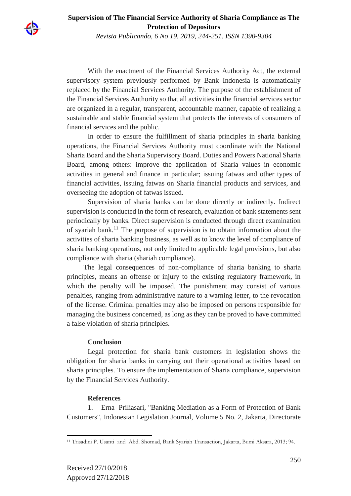

**Supervision of The Financial Service Authority of Sharia Compliance as The Protection of Depositors**

*Revista Publicando, 6 No 19. 2019, 244-251. ISSN 1390-9304*

With the enactment of the Financial Services Authority Act, the external supervisory system previously performed by Bank Indonesia is automatically replaced by the Financial Services Authority. The purpose of the establishment of the Financial Services Authority so that all activities in the financial services sector are organized in a regular, transparent, accountable manner, capable of realizing a sustainable and stable financial system that protects the interests of consumers of financial services and the public.

In order to ensure the fulfillment of sharia principles in sharia banking operations, the Financial Services Authority must coordinate with the National Sharia Board and the Sharia Supervisory Board. Duties and Powers National Sharia Board, among others: improve the application of Sharia values in economic activities in general and finance in particular; issuing fatwas and other types of financial activities, issuing fatwas on Sharia financial products and services, and overseeing the adoption of fatwas issued.

Supervision of sharia banks can be done directly or indirectly. Indirect supervision is conducted in the form of research, evaluation of bank statements sent periodically by banks. Direct supervision is conducted through direct examination of syariah bank.<sup>11</sup> The purpose of supervision is to obtain information about the activities of sharia banking business, as well as to know the level of compliance of sharia banking operations, not only limited to applicable legal provisions, but also compliance with sharia (shariah compliance).

The legal consequences of non-compliance of sharia banking to sharia principles, means an offense or injury to the existing regulatory framework, in which the penalty will be imposed. The punishment may consist of various penalties, ranging from administrative nature to a warning letter, to the revocation of the license. Criminal penalties may also be imposed on persons responsible for managing the business concerned, as long as they can be proved to have committed a false violation of sharia principles.

### **Conclusion**

Legal protection for sharia bank customers in legislation shows the obligation for sharia banks in carrying out their operational activities based on sharia principles. To ensure the implementation of Sharia compliance, supervision by the Financial Services Authority.

#### **References**

1. Erna Priliasari, "Banking Mediation as a Form of Protection of Bank Customers", Indonesian Legislation Journal, Volume 5 No. 2, Jakarta, Directorate

 $\overline{\phantom{a}}$ 

<sup>11</sup> Trisadini P. Usanti and Abd. Shomad, Bank Syariah Transaction, Jakarta, Bumi Aksara, 2013; 94.